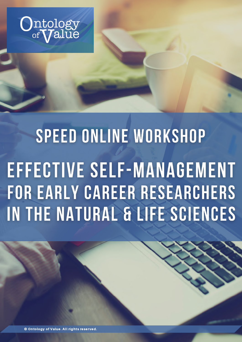

# SPEED ONLINE WORKSHOP EFFECTIVE SELF-MANAGEMENT FOR EARLY CAREER RESEARCHERS IN THE NATURAL & LIFE SCIENCES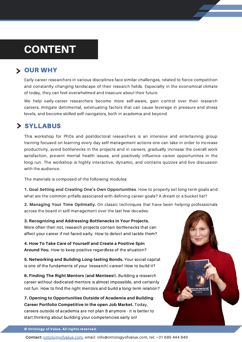### CONTENT

#### **> OUR WHY**

Early career researchers in various disciplines face similar challenges, related to fierce competition and constantly changing landscape of their research fields. Especially in the economical climate of today, they can feel overwhelmed and insecure about their future.

We help early-career researchers become more self-aware, gain control over their research careers, mitigate detrimental, extenuating factors that can cause leverage in pressure and stress levels, and become skilled self-navigators, both in academia and beyond.

#### > SYLLABUS

This workshop for PhDs and postdoctoral researchers is an intensive and entertaining group training focused on learning every day self-management actions one can take in order to increase productivity, avoid bottlenecks in the projects and in careers, gradually increase the overall work satisfaction, prevent mental health issues, and positively influence career opportunities in the long run. The workshop is highly interactive, dynamic, and contains quizzes and live discussion with the audience.

The materials is composed of the following modules:

**1. Goal Setting and Creating One's Own Opportunities**. How to properly set long-term goals and what are the common pitfalls associated with defining career goals? A dream or a bucket list?

**2. Managing Your Time Optimally.** On classic techniques that have been helping professionals across the board in self-management over the last few decades.

**3. Recognizing and Addressing Bottlenecks in Your Projects.** More often then not, research projects contain bottlenecks that can affect your career if not faced early. How to detect and tackle them?

**4. How To Take Care of Yourself and Create a Positive Spin Around You.** How to keep positive regardless of the situation?

**5. Networking and Building Long-lasting Bonds.** Your social capital is one of the fundaments of your (research) career! How to build it?

**6. Finding The Right Mentors (and Mentees!).** Building a research career without dedicated mentors is almost impossible, and certainly not fun. How to find the right mentors and build a long-term relation?

**7. Opening to Opportunities Outside of Academia and Building Career Portfolio Competitive in the open Job Market.** Today, careers outside of academia are not plan B anymore - it is better to start thinking about building your competencies early on!



© Ontology of Value. All rights reserved.

Contact: **[ontologyofvalue.com](http://ontologyofvalue.com/)</u>**, email: info@ontologyofvalue.com, tel: +31 685 444 840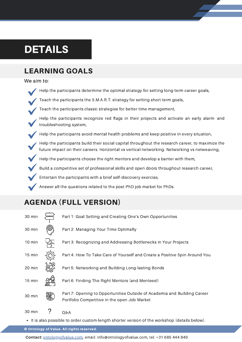### DETAILS

#### LEARNING GOALS

We aim to:

- $\;\dot{\;}$  Help the participants determine the optimal strategy for setting long-term career goals,
- Teach the participants the S.M.A.R.T. strategy for setting short-term goals,
- Teach the participants classic strategies for better time-management,
	- Help the participants recognize red flags in their projects and activate an early alarm- and troubleshooting system,
- Help the participants avoid mental health problems and keep positive in every situation,
- Help the participants build their social capital throughout the research career, to maximize the future impact on their careers. Horizontal vs vertical networking. Networking vs netweaving,
- Help the participants choose the right mentors and develop a banter with them,
- Build a competitive set of professional skills and open doors throughout research career,
- Entertain the participants with a brief self-discovery exercise,
- Answer all the questions related to the post-PhD job market for PhDs.

#### AGENDA (FULL VERSION)



It is also possible to order custom-length shorter version of the workshop (details below).

© Ontology of Value. All rights reserved.

**Contact:** [ontologyofvalue.com](http://ontologyofvalue.com/), email: info@ontologyofvalue.com, tel: +31 685 444 840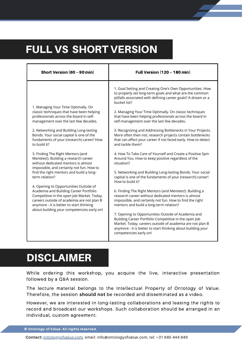### FULL VS SHORT VERSION

| Short Version (60 -- 90 min)                                                                                                                                                                                                                                                                                                                                                                                                                                                                                                                                                                                                                                                                                                                                                                                                       | <b>Full Version (120 -- 180 min)</b>                                                                                                                                                                                                                                                                                                                                                                                                                                                                                                                                                                                                                                                                                                                                                                                                                                                                                                                                                                                                                                                                                                                                                                                                                                                                                                                                          |  |
|------------------------------------------------------------------------------------------------------------------------------------------------------------------------------------------------------------------------------------------------------------------------------------------------------------------------------------------------------------------------------------------------------------------------------------------------------------------------------------------------------------------------------------------------------------------------------------------------------------------------------------------------------------------------------------------------------------------------------------------------------------------------------------------------------------------------------------|-------------------------------------------------------------------------------------------------------------------------------------------------------------------------------------------------------------------------------------------------------------------------------------------------------------------------------------------------------------------------------------------------------------------------------------------------------------------------------------------------------------------------------------------------------------------------------------------------------------------------------------------------------------------------------------------------------------------------------------------------------------------------------------------------------------------------------------------------------------------------------------------------------------------------------------------------------------------------------------------------------------------------------------------------------------------------------------------------------------------------------------------------------------------------------------------------------------------------------------------------------------------------------------------------------------------------------------------------------------------------------|--|
| 1. Managing Your Time Optimally. On<br>classic techniques that have been helping<br>professionals across the board in self-<br>management over the last few decades.<br>2. Networking and Building Long-lasting<br>Bonds. Your social capital is one of the<br>fundaments of your (research) career! How<br>to build it?<br>3. Finding The Right Mentors (and<br>Mentees!). Building a research career<br>without dedicated mentors is almost<br>impossible, and certainly not fun. How to<br>find the right mentors and build a long-<br>term relation?<br>4. Opening to Opportunities Outside of<br>Academia and Building Career Portfolio<br>Competitive in the open Job Market. Today,<br>careers outside of academia are not plan B<br>anymore - it is better to start thinking<br>about building your competencies early on! | 1. Goal Setting and Creating One's Own Opportunities. How<br>to properly set long-term goals and what are the common<br>pitfalls associated with defining career goals? A dream or a<br>bucket list?<br>2. Managing Your Time Optimally. On classic techniques<br>that have been helping professionals across the board in<br>self-management over the last few decades.<br>3. Recognizing and Addressing Bottlenecks in Your Projects.<br>More often then not, research projects contain bottlenecks<br>that can affect your career if not faced early. How to detect<br>and tackle them?<br>4. How To Take Care of Yourself and Create a Positive Spin<br>Around You. How to keep positive regardless of the<br>situation?<br>5. Networking and Building Long-lasting Bonds. Your social<br>capital is one of the fundaments of your (research) career!<br>How to build it?<br>6. Finding The Right Mentors (and Mentees!). Building a<br>research career without dedicated mentors is almost<br>impossible, and certainly not fun. How to find the right<br>mentors and build a long-term relation?<br>7. Opening to Opportunities Outside of Academia and<br>Building Career Portfolio Competitive in the open Job<br>Market. Today, careers outside of academia are not plan B<br>anymore - it is better to start thinking about building your<br>competencies early on! |  |

### DISCLAIMER

While ordering this workshop, you acquire the live, interactive presentation followed by a Q&A session.

The lecture material belongs to the Intellectual Property of Ontology of Value. Therefore, the session **should not** be recorded and disseminated as a video.

However, we are interested in long-lasting collaborations and leasing the rights to record and broadcast our workshops. Such collaboration should be arranged in an individual, custom agreement.

© Ontology of Value. All rights reserved.

**Contact:** [ontologyofvalue.com](http://ontologyofvalue.com/), email: info@ontologyofvalue.com, tel: +31 685 444 840